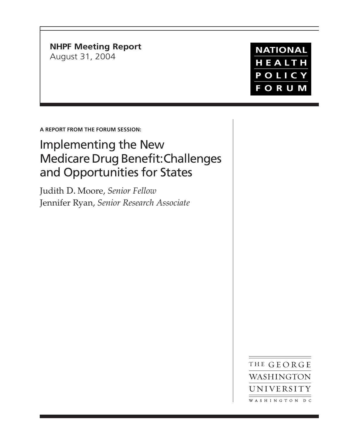**NHPF Meeting Report** August 31, 2004

**NATIONAL** HEALTH POLICY **FORUM** 

**A REPORT FROM THE FORUM SESSION:**

# Implementing the New Medicare Drug Benefit: Challenges and Opportunities for States

Judith D. Moore, *Senior Fellow* Jennifer Ryan, *Senior Research Associate*

> THE GEORGE WASHINGTON UNIVERSITY WASHINGTON DC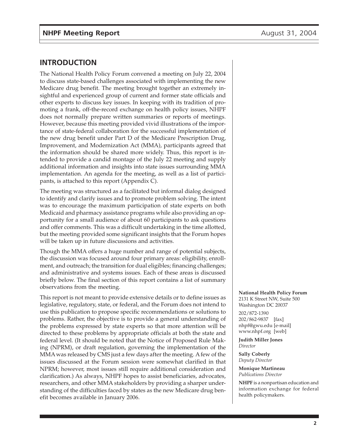## **INTRODUCTION**

The National Health Policy Forum convened a meeting on July 22, 2004 to discuss state-based challenges associated with implementing the new Medicare drug benefit. The meeting brought together an extremely insightful and experienced group of current and former state officials and other experts to discuss key issues. In keeping with its tradition of promoting a frank, off-the-record exchange on health policy issues, NHPF does not normally prepare written summaries or reports of meetings. However, because this meeting provided vivid illustrations of the importance of state-federal collaboration for the successful implementation of the new drug benefit under Part D of the Medicare Prescription Drug, Improvement, and Modernization Act (MMA), participants agreed that the information should be shared more widely. Thus, this report is intended to provide a candid montage of the July 22 meeting and supply additional information and insights into state issues surrounding MMA implementation. An agenda for the meeting, as well as a list of participants, is attached to this report (Appendix C).

The meeting was structured as a facilitated but informal dialog designed to identify and clarify issues and to promote problem solving. The intent was to encourage the maximum participation of state experts on both Medicaid and pharmacy assistance programs while also providing an opportunity for a small audience of about 60 participants to ask questions and offer comments. This was a difficult undertaking in the time allotted, but the meeting provided some significant insights that the Forum hopes will be taken up in future discussions and activities.

Though the MMA offers a huge number and range of potential subjects, the discussion was focused around four primary areas: eligibility, enrollment, and outreach; the transition for dual eligibles; financing challenges; and administrative and systems issues. Each of these areas is discussed briefly below. The final section of this report contains a list of summary observations from the meeting.

This report is not meant to provide extensive details or to define issues as legislative, regulatory, state, or federal, and the Forum does not intend to use this publication to propose specific recommendations or solutions to problems. Rather, the objective is to provide a general understanding of the problems expressed by state experts so that more attention will be directed to these problems by appropriate officials at both the state and federal level. (It should be noted that the Notice of Proposed Rule Making (NPRM), or draft regulation, governing the implementation of the MMA was released by CMS just a few days after the meeting. A few of the issues discussed at the Forum session were somewhat clarified in that NPRM; however, most issues still require additional consideration and clarification.) As always, NHPF hopes to assist beneficiaries, advocates, researchers, and other MMA stakeholders by providing a sharper understanding of the difficulties faced by states as the new Medicare drug benefit becomes available in January 2006.

**National Health Policy Forum** 2131 K Street NW, Suite 500 Washington DC 20037

202/872-1390 202/862-9837 [fax] nhpf@gwu.edu [e-mail] www.nhpf.org [web]

**Judith Miller Jones** *Director*

**Sally Coberly** *Deputy Director*

**Monique Martineau** *Publications Director*

**NHPF** is a nonpartisan education and information exchange for federal health policymakers.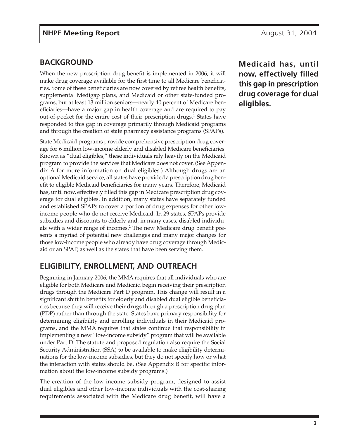# **BACKGROUND**

When the new prescription drug benefit is implemented in 2006, it will make drug coverage available for the first time to all Medicare beneficiaries. Some of these beneficiaries are now covered by retiree health benefits, supplemental Medigap plans, and Medicaid or other state-funded programs, but at least 13 million seniors—nearly 40 percent of Medicare beneficiaries—have a major gap in health coverage and are required to pay out-of-pocket for the entire cost of their prescription drugs.<sup>1</sup> States have responded to this gap in coverage primarily through Medicaid programs and through the creation of state pharmacy assistance programs (SPAPs).

State Medicaid programs provide comprehensive prescription drug coverage for 6 million low-income elderly and disabled Medicare beneficiaries. Known as "dual eligibles," these individuals rely heavily on the Medicaid program to provide the services that Medicare does not cover. (See Appendix A for more information on dual eligibles.) Although drugs are an optional Medicaid service, all states have provided a prescription drug benefit to eligible Medicaid beneficiaries for many years. Therefore, Medicaid has, until now, effectively filled this gap in Medicare prescription drug coverage for dual eligibles. In addition, many states have separately funded and established SPAPs to cover a portion of drug expenses for other lowincome people who do not receive Medicaid. In 29 states, SPAPs provide subsidies and discounts to elderly and, in many cases, disabled individuals with a wider range of incomes.<sup>2</sup> The new Medicare drug benefit presents a myriad of potential new challenges and many major changes for those low-income people who already have drug coverage through Medicaid or an SPAP, as well as the states that have been serving them.

# **ELIGIBILITY, ENROLLMENT, AND OUTREACH**

Beginning in January 2006, the MMA requires that all individuals who are eligible for both Medicare and Medicaid begin receiving their prescription drugs through the Medicare Part D program. This change will result in a significant shift in benefits for elderly and disabled dual eligible beneficiaries because they will receive their drugs through a prescription drug plan (PDP) rather than through the state. States have primary responsibility for determining eligibility and enrolling individuals in their Medicaid programs, and the MMA requires that states continue that responsibility in implementing a new "low-income subsidy" program that will be available under Part D. The statute and proposed regulation also require the Social Security Administration (SSA) to be available to make eligibility determinations for the low-income subsidies, but they do not specify how or what the interaction with states should be. (See Appendix B for specific information about the low-income subsidy programs.)

The creation of the low-income subsidy program, designed to assist dual eligibles and other low-income individuals with the cost-sharing requirements associated with the Medicare drug benefit, will have a

**Medicaid has, until now, effectively filled this gap in prescription drug coverage for dual eligibles.**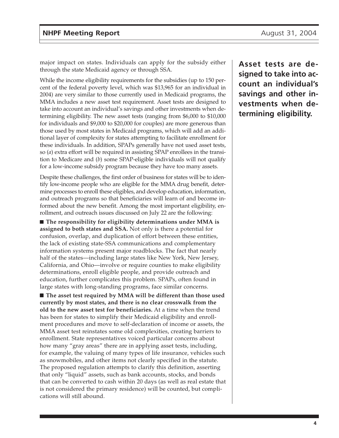major impact on states. Individuals can apply for the subsidy either through the state Medicaid agency or through SSA.

While the income eligibility requirements for the subsidies (up to 150 percent of the federal poverty level, which was \$13,965 for an individual in 2004) are very similar to those currently used in Medicaid programs, the MMA includes a new asset test requirement. Asset tests are designed to take into account an individual's savings and other investments when determining eligibility. The new asset tests (ranging from \$6,000 to \$10,000 for individuals and \$9,000 to \$20,000 for couples) are more generous than those used by most states in Medicaid programs, which will add an additional layer of complexity for states attempting to facilitate enrollment for these individuals. In addition, SPAPs generally have not used asset tests, so (*a*) extra effort will be required in assisting SPAP enrollees in the transition to Medicare and (*b*) some SPAP-eligible individuals will not qualify for a low-income subsidy program because they have too many assets.

Despite these challenges, the first order of business for states will be to identify low-income people who are eligible for the MMA drug benefit, determine processes to enroll these eligibles, and develop education, information, and outreach programs so that beneficiaries will learn of and become informed about the new benefit. Among the most important eligibility, enrollment, and outreach issues discussed on July 22 are the following:

■ **The responsibility for eligibility determinations under MMA is assigned to both states and SSA.** Not only is there a potential for confusion, overlap, and duplication of effort between these entities, the lack of existing state-SSA communications and complementary information systems present major roadblocks. The fact that nearly half of the states—including large states like New York, New Jersey, California, and Ohio—involve or require counties to make eligibility determinations, enroll eligible people, and provide outreach and education, further complicates this problem. SPAPs, often found in large states with long-standing programs, face similar concerns.

■ **The asset test required by MMA will be different than those used currently by most states, and there is no clear crosswalk from the old to the new asset test for beneficiaries.** At a time when the trend has been for states to simplify their Medicaid eligibility and enrollment procedures and move to self-declaration of income or assets, the MMA asset test reinstates some old complexities, creating barriers to enrollment. State representatives voiced particular concerns about how many "gray areas" there are in applying asset tests, including, for example, the valuing of many types of life insurance, vehicles such as snowmobiles, and other items not clearly specified in the statute. The proposed regulation attempts to clarify this definition, asserting that only "liquid" assets, such as bank accounts, stocks, and bonds that can be converted to cash within 20 days (as well as real estate that is not considered the primary residence) will be counted, but complications will still abound.

**Asset tests are designed to take into account an individual's savings and other investments when determining eligibility.**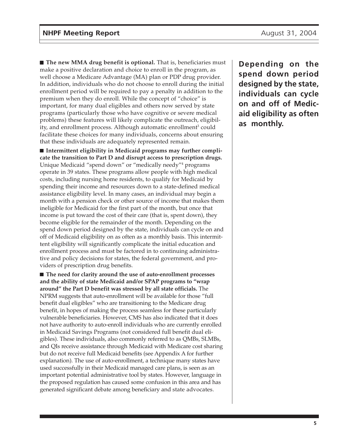■ **The new MMA drug benefit is optional.** That is, beneficiaries must make a positive declaration and choice to enroll in the program, as well choose a Medicare Advantage (MA) plan or PDP drug provider. In addition, individuals who do not choose to enroll during the initial enrollment period will be required to pay a penalty in addition to the premium when they do enroll. While the concept of "choice" is important, for many dual eligibles and others now served by state programs (particularly those who have cognitive or severe medical problems) these features will likely complicate the outreach, eligibility, and enrollment process. Although automatic enrollment<sup>3</sup> could facilitate these choices for many individuals, concerns about ensuring that these individuals are adequately represented remain.

■ Intermittent eligibility in Medicaid programs may further compli**cate the transition to Part D and disrupt access to prescription drugs.** Unique Medicaid "spend down" or "medically needy"4 programs operate in 39 states. These programs allow people with high medical costs, including nursing home residents, to qualify for Medicaid by spending their income and resources down to a state-defined medical assistance eligibility level. In many cases, an individual may begin a month with a pension check or other source of income that makes them ineligible for Medicaid for the first part of the month, but once that income is put toward the cost of their care (that is, spent down), they become eligible for the remainder of the month. Depending on the spend down period designed by the state, individuals can cycle on and off of Medicaid eligibility on as often as a monthly basis. This intermittent eligibility will significantly complicate the initial education and enrollment process and must be factored in to continuing administrative and policy decisions for states, the federal government, and providers of prescription drug benefits.

■ **The need for clarity around the use of auto-enrollment processes and the ability of state Medicaid and/or SPAP programs to "wrap around" the Part D benefit was stressed by all state officials.** The NPRM suggests that auto-enrollment will be available for those "full benefit dual eligibles" who are transitioning to the Medicare drug benefit, in hopes of making the process seamless for these particularly vulnerable beneficiaries. However, CMS has also indicated that it does not have authority to auto-enroll individuals who are currently enrolled in Medicaid Savings Programs (not considered full benefit dual eligibles). These individuals, also commonly referred to as QMBs, SLMBs, and QIs receive assistance through Medicaid with Medicare cost sharing but do not receive full Medicaid benefits (see Appendix A for further explanation). The use of auto-enrollment, a technique many states have used successfully in their Medicaid managed care plans, is seen as an important potential administrative tool by states. However, language in the proposed regulation has caused some confusion in this area and has generated significant debate among beneficiary and state advocates.

**Depending on the spend down period designed by the state, individuals can cycle on and off of Medicaid eligibility as often as monthly.**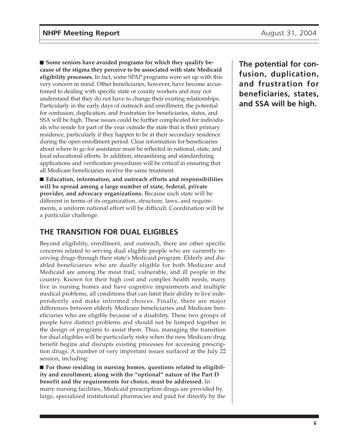■ Some seniors have avoided programs for which they qualify be**cause of the stigma they perceive to be associated with state Medicaid eligibility processes.** In fact, some SPAP programs were set up with this very concern in mind. Other beneficiaries, however, have become accustomed to dealing with specific state or county workers and may not understand that they do not have to change their existing relationships. Particularly in the early days of outreach and enrollment, the potential for confusion, duplication, and frustration for beneficiaries, states, and SSA will be high. These issues could be further complicated for individuals who reside for part of the year outside the state that is their primary residence, particularly if they happen to be at their secondary residence during the open enrollment period. Clear information for beneficiaries about where to go for assistance must be reflected in national, state, and local educational efforts. In addition, streamlining and standardizing applications and verification procedures will be critical in ensuring that all Medicare beneficiaries receive the same treatment.

■ **Education, information, and outreach efforts and responsibilities will be spread among a large number of state, federal, private provider, and advocacy organizations.** Because each state will be different in terms of its organization, structure, laws, and requirements, a uniform national effort will be difficult. Coordination will be a particular challenge.

# **THE TRANSITION FOR DUAL ELIGIBLES**

Beyond eligibility, enrollment, and outreach, there are other specific concerns related to serving dual eligible people who are currently receiving drugs through their state's Medicaid program. Elderly and disabled beneficiaries who are dually eligible for both Medicare and Medicaid are among the most frail, vulnerable, and ill people in the country. Known for their high cost and complex health needs, many live in nursing homes and have cognitive impairments and multiple medical problems, all conditions that can limit their ability to live independently and make informed choices. Finally, there are major differences between elderly Medicare beneficiaries and Medicare beneficiaries who are eligible because of a disability. These two groups of people have distinct problems and should not be lumped together in the design of programs to assist them. Thus, managing the transition for dual eligibles will be particularly risky when the new Medicare drug benefit begins and disrupts existing processes for accessing prescription drugs. A number of very important issues surfaced at the July 22 session, including:

■ For those residing in nursing homes, questions related to eligibil**ity and enrollment, along with the "optional" nature of the Part D benefit and the requirements for choice, must be addressed.** In many nursing facilities, Medicaid prescription drugs are provided by large, specialized institutional pharmacies and paid for directly by the

**The potential for confusion, duplication, and frustration for beneficiaries, states, and SSA will be high.**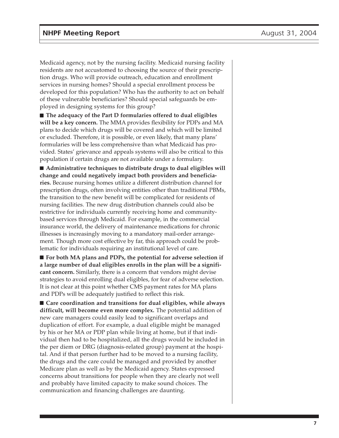Medicaid agency, not by the nursing facility. Medicaid nursing facility residents are not accustomed to choosing the source of their prescription drugs. Who will provide outreach, education and enrollment services in nursing homes? Should a special enrollment process be developed for this population? Who has the authority to act on behalf of these vulnerable beneficiaries? Should special safeguards be employed in designing systems for this group?

■ **The adequacy of the Part D formularies offered to dual eligibles will be a key concern.** The MMA provides flexibility for PDPs and MA plans to decide which drugs will be covered and which will be limited or excluded. Therefore, it is possible, or even likely, that many plans' formularies will be less comprehensive than what Medicaid has provided. States' grievance and appeals systems will also be critical to this population if certain drugs are not available under a formulary.

■ **Administrative techniques to distribute drugs to dual eligibles will change and could negatively impact both providers and beneficiaries.** Because nursing homes utilize a different distribution channel for prescription drugs, often involving entities other than traditional PBMs, the transition to the new benefit will be complicated for residents of nursing facilities. The new drug distribution channels could also be restrictive for individuals currently receiving home and communitybased services through Medicaid. For example, in the commercial insurance world, the delivery of maintenance medications for chronic illnesses is increasingly moving to a mandatory mail-order arrangement. Though more cost effective by far, this approach could be problematic for individuals requiring an institutional level of care.

■ For both MA plans and PDPs, the potential for adverse selection if **a large number of dual eligibles enrolls in the plan will be a significant concern.** Similarly, there is a concern that vendors might devise strategies to avoid enrolling dual eligibles, for fear of adverse selection. It is not clear at this point whether CMS payment rates for MA plans and PDPs will be adequately justified to reflect this risk.

■ Care coordination and transitions for dual eligibles, while always **difficult, will become even more complex.** The potential addition of new care managers could easily lead to significant overlaps and duplication of effort. For example, a dual eligible might be managed by his or her MA or PDP plan while living at home, but if that individual then had to be hospitalized, all the drugs would be included in the per diem or DRG (diagnosis-related group) payment at the hospital. And if that person further had to be moved to a nursing facility, the drugs and the care could be managed and provided by another Medicare plan as well as by the Medicaid agency. States expressed concerns about transitions for people when they are clearly not well and probably have limited capacity to make sound choices. The communication and financing challenges are daunting.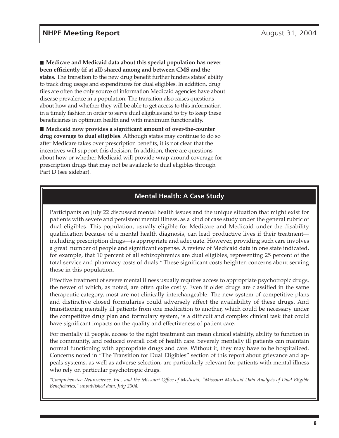■ Medicare and Medicaid data about this special population has never **been efficiently (if at all) shared among and between CMS and the states.** The transition to the new drug benefit further hinders states' ability to track drug usage and expenditures for dual eligibles. In addition, drug files are often the only source of information Medicaid agencies have about disease prevalence in a population. The transition also raises questions about how and whether they will be able to get access to this information in a timely fashion in order to serve dual eligibles and to try to keep these beneficiaries in optimum health and with maximum functionality.

■ **Medicaid now provides a significant amount of over-the-counter drug coverage to dual eligibles**. Although states may continue to do so after Medicare takes over prescription benefits, it is not clear that the incentives will support this decision. In addition, there are questions about how or whether Medicaid will provide wrap-around coverage for prescription drugs that may not be available to dual eligibles through Part D (see sidebar).

#### **Mental Health: A Case Study**

Participants on July 22 discussed mental health issues and the unique situation that might exist for patients with severe and persistent mental illness, as a kind of case study under the general rubric of dual eligibles. This population, usually eligible for Medicare and Medicaid under the disability qualification because of a mental health diagnosis, can lead productive lives if their treatment including prescription drugs—is appropriate and adequate. However, providing such care involves a great number of people and significant expense. A review of Medicaid data in one state indicated, for example, that 10 percent of all schizophrenics are dual eligibles, representing 25 percent of the total service and pharmacy costs of duals.\* These significant costs heighten concerns about serving those in this population.

Effective treatment of severe mental illness usually requires access to appropriate psychotropic drugs, the newer of which, as noted, are often quite costly. Even if older drugs are classified in the same therapeutic category, most are not clinically interchangeable. The new system of competitive plans and distinctive closed formularies could adversely affect the availability of these drugs. And transitioning mentally ill patients from one medication to another, which could be necessary under the competitive drug plan and formulary system, is a difficult and complex clinical task that could have significant impacts on the quality and effectiveness of patient care.

For mentally ill people, access to the right treatment can mean clinical stability, ability to function in the community, and reduced overall cost of health care. Severely mentally ill patients can maintain normal functioning with appropriate drugs and care. Without it, they may have to be hospitalized. Concerns noted in "The Transition for Dual Eligibles" section of this report about grievance and appeals systems, as well as adverse selection, are particularly relevant for patients with mental illness who rely on particular psychotropic drugs.

*\*Comprehensive Neuroscience, Inc., and the Missouri Office of Medicaid, "Missouri Medicaid Data Analysis of Dual Eligible Beneficiaries," unpublished data, July 2004.*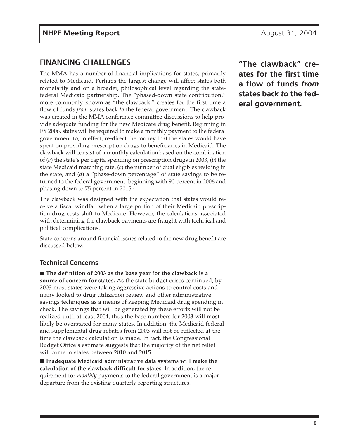# **FINANCING CHALLENGES**

The MMA has a number of financial implications for states, primarily related to Medicaid. Perhaps the largest change will affect states both monetarily and on a broader, philosophical level regarding the statefederal Medicaid partnership. The "phased-down state contribution," more commonly known as "the clawback," creates for the first time a flow of funds *from* states back *to* the federal government. The clawback was created in the MMA conference committee discussions to help provide adequate funding for the new Medicare drug benefit. Beginning in FY 2006, states will be required to make a monthly payment to the federal government to, in effect, re-direct the money that the states would have spent on providing prescription drugs to beneficiaries in Medicaid. The clawback will consist of a monthly calculation based on the combination of (*a*) the state's per capita spending on prescription drugs in 2003, (*b*) the state Medicaid matching rate, (*c*) the number of dual eligibles residing in the state, and (*d*) a "phase-down percentage" of state savings to be returned to the federal government, beginning with 90 percent in 2006 and phasing down to 75 percent in 2015.<sup>5</sup>

The clawback was designed with the expectation that states would receive a fiscal windfall when a large portion of their Medicaid prescription drug costs shift to Medicare. However, the calculations associated with determining the clawback payments are fraught with technical and political complications.

State concerns around financial issues related to the new drug benefit are discussed below.

### **Technical Concerns**

■ **The definition of 2003 as the base year for the clawback is a source of concern for states.** As the state budget crises continued, by 2003 most states were taking aggressive actions to control costs and many looked to drug utilization review and other administrative savings techniques as a means of keeping Medicaid drug spending in check. The savings that will be generated by these efforts will not be realized until at least 2004, thus the base numbers for 2003 will most likely be overstated for many states. In addition, the Medicaid federal and supplemental drug rebates from 2003 will not be reflected at the time the clawback calculation is made. In fact, the Congressional Budget Office's estimate suggests that the majority of the net relief will come to states between 2010 and 2015.<sup>6</sup>

■ **Inadequate Medicaid administrative data systems will make the calculation of the clawback difficult for states**. In addition, the requirement for *monthly* payments to the federal government is a major departure from the existing quarterly reporting structures.

**"The clawback" creates for the first time a flow of funds** *from* **states back** *to* **the federal government.**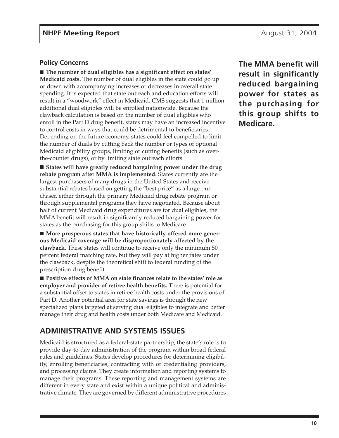#### **Policy Concerns**

■ **The number of dual eligibles has a significant effect on states' Medicaid costs.** The number of dual eligibles in the state could go up or down with accompanying increases or decreases in overall state spending. It is expected that state outreach and education efforts will result in a "woodwork" effect in Medicaid. CMS suggests that 1 million additional dual eligibles will be enrolled nationwide. Because the clawback calculation is based on the number of dual eligibles who enroll in the Part D drug benefit, states may have an increased incentive to control costs in ways that could be detrimental to beneficiaries. Depending on the future economy, states could feel compelled to limit the number of duals by cutting back the number or types of optional Medicaid eligibility groups, limiting or cutting benefits (such as overthe-counter drugs), or by limiting state outreach efforts.

■ States will have greatly reduced bargaining power under the drug **rebate program after MMA is implemented.** States currently are the largest purchasers of many drugs in the United States and receive substantial rebates based on getting the "best price" as a large purchaser, either through the primary Medicaid drug rebate program or through supplemental programs they have negotiated. Because about half of current Medicaid drug expenditures are for dual eligibles, the MMA benefit will result in significantly reduced bargaining power for states as the purchasing for this group shifts to Medicare.

■ More prosperous states that have historically offered more gener**ous Medicaid coverage will be disproportionately affected by the clawback.** These states will continue to receive only the minimum 50 percent federal matching rate, but they will pay at higher rates under the clawback, despite the theoretical shift to federal funding of the prescription drug benefit.

■ **Positive effects of MMA on state finances relate to the states' role as employer and provider of retiree health benefits.** There is potential for a substantial offset to states in retiree health costs under the provisions of Part D. Another potential area for state savings is through the new specialized plans targeted at serving dual eligibles to integrate and better manage their drug and health costs under both Medicare and Medicaid.

# **ADMINISTRATIVE AND SYSTEMS ISSUES**

Medicaid is structured as a federal-state partnership; the state's role is to provide day-to-day administration of the program within broad federal rules and guidelines. States develop procedures for determining eligibility, enrolling beneficiaries, contracting with or credentialing providers, and processing claims. They create information and reporting systems to manage their programs. These reporting and management systems are different in every state and exist within a unique political and administrative climate. They are governed by different administrative procedures

**The MMA benefit will result in significantly reduced bargaining power for states as the purchasing for this group shifts to Medicare.**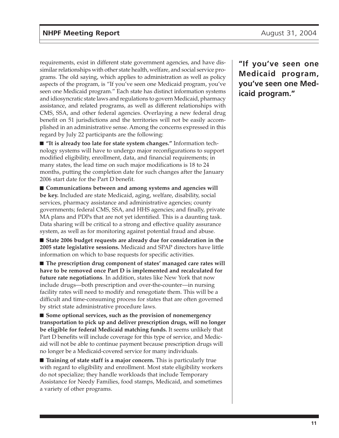requirements, exist in different state government agencies, and have dissimilar relationships with other state health, welfare, and social service programs. The old saying, which applies to administration as well as policy aspects of the program, is "If you've seen one Medicaid program, you've seen one Medicaid program." Each state has distinct information systems and idiosyncratic state laws and regulations to govern Medicaid, pharmacy assistance, and related programs, as well as different relationships with CMS, SSA, and other federal agencies. Overlaying a new federal drug benefit on 51 jurisdictions and the territories will not be easily accomplished in an administrative sense. Among the concerns expressed in this regard by July 22 participants are the following:

■ "It is already too late for state system changes." Information technology systems will have to undergo major reconfigurations to support modified eligibility, enrollment, data, and financial requirements; in many states, the lead time on such major modifications is 18 to 24 months, putting the completion date for such changes after the January 2006 start date for the Part D benefit.

■ **Communications between and among systems and agencies will be key.** Included are state Medicaid, aging, welfare, disability, social services, pharmacy assistance and administrative agencies; county governments; federal CMS, SSA, and HHS agencies; and finally, private MA plans and PDPs that are not yet identified. This is a daunting task. Data sharing will be critical to a strong and effective quality assurance system, as well as for monitoring against potential fraud and abuse.

■ State 2006 budget requests are already due for consideration in the **2005 state legislative sessions.** Medicaid and SPAP directors have little information on which to base requests for specific activities.

■ **The prescription drug component of states' managed care rates will have to be removed once Part D is implemented and recalculated for future rate negotiations**. In addition, states like New York that now include drugs—both prescription and over-the-counter—in nursing facility rates will need to modify and renegotiate them. This will be a difficult and time-consuming process for states that are often governed by strict state administrative procedure laws.

■ **Some optional services, such as the provision of nonemergency transportation to pick up and deliver prescription drugs, will no longer be eligible for federal Medicaid matching funds.** It seems unlikely that Part D benefits will include coverage for this type of service, and Medicaid will not be able to continue payment because prescription drugs will no longer be a Medicaid-covered service for many individuals.

■ **Training of state staff is a major concern.** This is particularly true with regard to eligibility and enrollment. Most state eligibility workers do not specialize; they handle workloads that include Temporary Assistance for Needy Families, food stamps, Medicaid, and sometimes a variety of other programs.

**"If you've seen one Medicaid program, you've seen one Medicaid program."**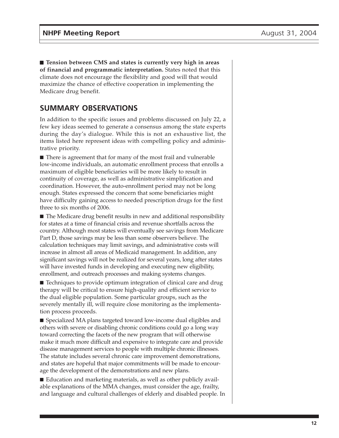■ **Tension between CMS** and states is currently very high in areas **of financial and programmatic interpretation.** States noted that this climate does not encourage the flexibility and good will that would maximize the chance of effective cooperation in implementing the Medicare drug benefit.

# **SUMMARY OBSERVATIONS**

In addition to the specific issues and problems discussed on July 22, a few key ideas seemed to generate a consensus among the state experts during the day's dialogue. While this is not an exhaustive list, the items listed here represent ideas with compelling policy and administrative priority.

■ There is agreement that for many of the most frail and vulnerable low-income individuals, an automatic enrollment process that enrolls a maximum of eligible beneficiaries will be more likely to result in continuity of coverage, as well as administrative simplification and coordination. However, the auto-enrollment period may not be long enough. States expressed the concern that some beneficiaries might have difficulty gaining access to needed prescription drugs for the first three to six months of 2006.

■ The Medicare drug benefit results in new and additional responsibility for states at a time of financial crisis and revenue shortfalls across the country. Although most states will eventually see savings from Medicare Part D, those savings may be less than some observers believe. The calculation techniques may limit savings, and administrative costs will increase in almost all areas of Medicaid management. In addition, any significant savings will not be realized for several years, long after states will have invested funds in developing and executing new eligibility, enrollment, and outreach processes and making systems changes.

■ Techniques to provide optimum integration of clinical care and drug therapy will be critical to ensure high-quality and efficient service to the dual eligible population. Some particular groups, such as the severely mentally ill, will require close monitoring as the implementation process proceeds.

■ Specialized MA plans targeted toward low-income dual eligibles and others with severe or disabling chronic conditions could go a long way toward correcting the facets of the new program that will otherwise make it much more difficult and expensive to integrate care and provide disease management services to people with multiple chronic illnesses. The statute includes several chronic care improvement demonstrations, and states are hopeful that major commitments will be made to encourage the development of the demonstrations and new plans.

■ Education and marketing materials, as well as other publicly available explanations of the MMA changes, must consider the age, frailty, and language and cultural challenges of elderly and disabled people. In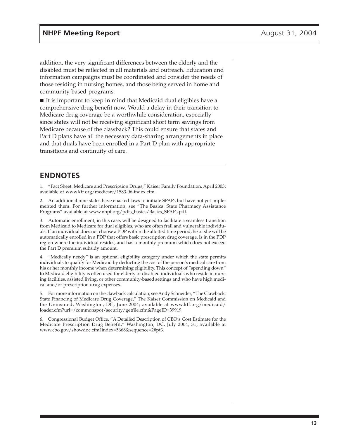addition, the very significant differences between the elderly and the disabled must be reflected in all materials and outreach. Education and information campaigns must be coordinated and consider the needs of those residing in nursing homes, and those being served in home and community-based programs.

■ It is important to keep in mind that Medicaid dual eligibles have a comprehensive drug benefit now. Would a delay in their transition to Medicare drug coverage be a worthwhile consideration, especially since states will not be receiving significant short term savings from Medicare because of the clawback? This could ensure that states and Part D plans have all the necessary data-sharing arrangements in place and that duals have been enrolled in a Part D plan with appropriate transitions and continuity of care.

# **ENDNOTES**

1. "Fact Sheet: Medicare and Prescription Drugs," Kaiser Family Foundation, April 2003; available at www.kff.org/medicare/1583-06-index.cfm.

2. An additional nine states have enacted laws to initiate SPAPs but have not yet implemented them. For further information, see "The Basics: State Pharmacy Assistance Programs" available at www.nhpf.org/pdfs\_basics/Basics\_SPAPs.pdf.

3. Automatic enrollment, in this case, will be designed to facilitate a seamless transition from Medicaid to Medicare for dual eligibles, who are often frail and vulnerable individuals. If an individual does not choose a PDP within the allotted time period, he or she will be automatically enrolled in a PDP that offers basic prescription drug coverage, is in the PDP region where the individual resides, and has a monthly premium which does not exceed the Part D premium subsidy amount.

4. "Medically needy" is an optional eligibility category under which the state permits individuals to qualify for Medicaid by deducting the cost of the person's medical care from his or her monthly income when determining eligibility. This concept of "spending down" to Medicaid eligibility is often used for elderly or disabled individuals who reside in nursing facilities, assisted living, or other community-based settings and who have high medical and/or prescription drug expenses.

5. For more information on the clawback calculation, see Andy Schneider, "The Clawback: State Financing of Medicare Drug Coverage," The Kaiser Commission on Medicaid and the Uninsured, Washington, DC, June 2004; available at www.kff.org/medicaid/ loader.cfm?url=/commonspot/security/getfile.cfm&PageID=39919.

6. Congressional Budget Office, "A Detailed Description of CBO's Cost Estimate for the Medicare Prescription Drug Benefit," Washington, DC, July 2004, 31; available at www.cbo.gov/showdoc.cfm?index=5668&sequence=2#pt3.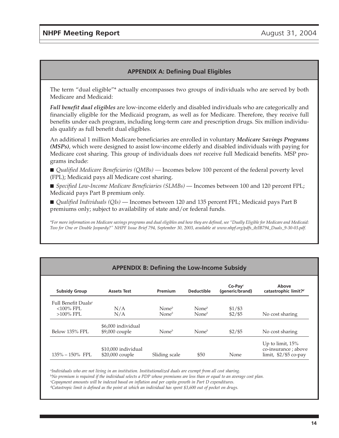#### **APPENDIX A: Defining Dual Eligibles**

The term "dual eligible"\* actually encompasses two groups of individuals who are served by both Medicare and Medicaid:

*Full benefit dual eligibles* are low-income elderly and disabled individuals who are categorically and financially eligible for the Medicaid program, as well as for Medicare. Therefore, they receive full benefits under each program, including long-term care and prescription drugs. Six million individuals qualify as full benefit dual eligibles.

An additional 1 million Medicare beneficiaries are enrolled in voluntary *Medicare Savings Programs (MSPs)*, which were designed to assist low-income elderly and disabled individuals with paying for Medicare cost sharing. This group of individuals does *not* receive full Medicaid benefits. MSP programs include:

■ *Qualified Medicare Beneficiaries (QMBs)* — Incomes below 100 percent of the federal poverty level (FPL); Medicaid pays all Medicare cost sharing.

■ *Specified Low-Income Medicare Beneficiaries (SLMBs)* — Incomes between 100 and 120 percent FPL; Medicaid pays Part B premium only.

■ *Qualified Individuals (QIs)* — Incomes between 120 and 135 percent FPL; Medicaid pays Part B premiums only; subject to availability of state and/or federal funds.

*\*For more information on Medicare savings programs and dual eligibles and how they are defined, see "Dually Eligible for Medicare and Medicaid: Two for One or Double Jeopardy?" NHPF Issue Brief 794, September 30, 2003, available at www.nhpf.org/pdfs\_ib/IB794\_Duals\_9-30-03.pdf.*

| <b>APPENDIX B: Defining the Low-Income Subsidy</b> |                     |                   |                   |                               |                                             |
|----------------------------------------------------|---------------------|-------------------|-------------------|-------------------------------|---------------------------------------------|
| <b>Subsidy Group</b>                               | <b>Assets Test</b>  | Premium           | <b>Deductible</b> | $Co-Pav^c$<br>(generic/brand) | Above<br>catastrophic limit? <sup>d</sup>   |
| Full Benefit Duals <sup>a</sup>                    |                     |                   |                   |                               |                                             |
| $<$ 100% FPL                                       | N/A                 | None $^b$         | None $^b$         | $$1/$ \$3                     |                                             |
| $>100\%$ FPL                                       | N/A                 | None <sup>b</sup> | None $^b$         | $$2/$ \$5                     | No cost sharing                             |
|                                                    | \$6,000 individual  |                   |                   |                               |                                             |
| Below 135% FPL                                     | \$9,000 couple      | None $^b$         | None <sup>b</sup> | $$2/$ \$5                     | No cost sharing                             |
|                                                    | \$10,000 individual |                   |                   |                               | Up to limit, $15\%$<br>co-insurance ; above |
| $135\% - 150\%$ FPL                                | \$20,000 couple     | Sliding scale     | \$50              | None                          | limit, $$2/$ \$5 co-pay                     |

a *Individuals who are not living in an institution. Institutionalized duals are exempt from all cost sharing.*

b *No premium is required if the individual selects a PDP whose premiums are less than or equal to an average cost plan.*

c *Copayment amounts will be indexed based on inflation and per capita growth in Part D expenditures.*

<sup>d</sup>*Catastropic limit is defined as the point at which an individual has spent \$3,600 out of pocket on drugs.*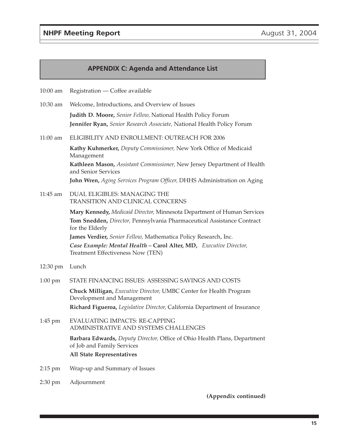#### **NHPF Meeting Report August 31, 2004**

#### **APPENDIX C: Agenda and Attendance List**

10:00 am Registration — Coffee available

- 10:30 am Welcome, Introductions, and Overview of Issues **Judith D. Moore,** *Senior Fellow,* National Health Policy Forum **Jennifer Ryan,** *Senior Research Associate,* National Health Policy Forum
- 11:00 am ELIGIBILITY AND ENROLLMENT: OUTREACH FOR 2006

**Kathy Kuhmerker,** *Deputy Commissioner,* New York Office of Medicaid Management

**Kathleen Mason,** *Assistant Commissioner,* New Jersey Department of Health and Senior Services

**John Wren,** *Aging Services Program Officer,* DHHS Administration on Aging

11:45 am DUAL ELIGIBLES: MANAGING THE TRANSITION AND CLINICAL CONCERNS

> **Mary Kennedy,** *Medicaid Director,* Minnesota Department of Human Services **Tom Snedden,** *Director,* Pennsylvania Pharmaceutical Assistance Contract for the Elderly

**James Verdier,** *Senior Fellow,* Mathematica Policy Research, Inc.

*Case Example: Mental Health –* **Carol Alter, MD,** *Executive Director,* Treatment Effectiveness Now (TEN)

- 12:30 pm Lunch
- 1:00 pm STATE FINANCING ISSUES: ASSESSING SAVINGS AND COSTS

**Chuck Milligan,** *Executive Director,* UMBC Center for Health Program Development and Management **Richard Figueroa,** *Legislative Director,* California Department of Insurance

1:45 pm EVALUATING IMPACTS: RE-CAPPING ADMINISTRATIVE AND SYSTEMS CHALLENGES

> **Barbara Edwards,** *Deputy Director,* Office of Ohio Health Plans, Department of Job and Family Services

**All State Representatives**

- 2:15 pm Wrap-up and Summary of Issues
- 2:30 pm Adjournment

**(Appendix continued)**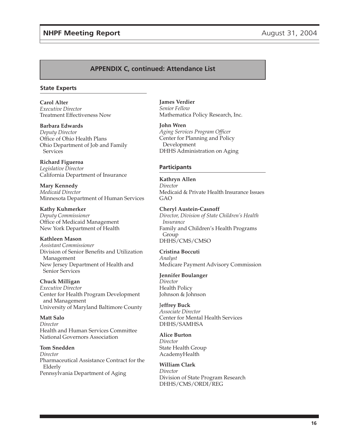### **NHPF Meeting Report August 31, 2004**

#### **APPENDIX C, continued: Attendance List**

#### **State Experts**

**Carol Alter** *Executive Director* Treatment Effectiveness Now

**Barbara Edwards** *Deputy Director* Office of Ohio Health Plans Ohio Department of Job and Family Services

**Richard Figueroa** *Legislative Director* California Department of Insurance

**Mary Kennedy** *Medicaid Director* Minnesota Department of Human Services

**Kathy Kuhmerker** *Deputy Commissioner* Office of Medicaid Management New York Department of Health

**Kathleen Mason** *Assistant Commissioner* Division of Senior Benefits and Utilization Management New Jersey Department of Health and Senior Services

**Chuck Milligan** *Executive Director* Center for Health Program Development and Management University of Maryland Baltimore County

**Matt Salo** *Director* Health and Human Services Committee National Governors Association

**Tom Snedden** *Director* Pharmaceutical Assistance Contract for the Elderly Pennsylvania Department of Aging

**James Verdier** *Senior Fellow* Mathematica Policy Research, Inc.

**John Wren** *Aging Services Program Officer* Center for Planning and Policy Development DHHS Administration on Aging

#### **Participants**

**Kathryn Allen** *Director* Medicaid & Private Health Insurance Issues GAO

**Cheryl Austein-Casnoff** *Director, Division of State Children's Health Insurance* Family and Children's Health Programs Group DHHS/CMS/CMSO

**Cristina Boccuti** *Analyst* Medicare Payment Advisory Commission

**Jennifer Boulanger** *Director* Health Policy Johnson & Johnson

J**effrey Buck** *Associate Director* Center for Mental Health Services DHHS/SAMHSA

**Alice Burton** *Director* State Health Group AcademyHealth

**William Clark** *Director* Division of State Program Research DHHS/CMS/ORDI/REG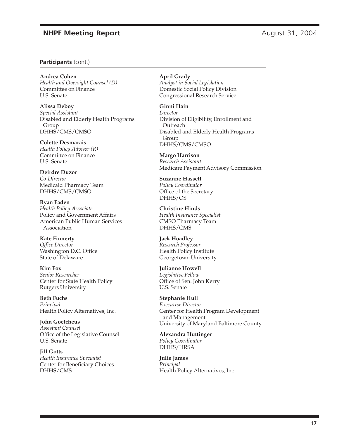#### **Participants** (cont.)

**Andrea Cohen** *Health and Oversight Counsel (D)* Committee on Finance U.S. Senate

**Alissa Deboy** *Special Assistant* Disabled and Elderly Health Programs Group DHHS/CMS/CMSO

**Colette Desmarais** *Health Policy Advisor (R)* Committee on Finance U.S. Senate

**Deirdre Duzor** *Co-Director* Medicaid Pharmacy Team DHHS/CMS/CMSO

**Ryan Faden** *Health Policy Associate* Policy and Government Affairs American Public Human Services Association

**Kate Finnerty** *Office Director* Washington D.C. Office State of Delaware

**Kim Fox** *Senior Researcher* Center for State Health Policy Rutgers University

**Beth Fuchs** *Principal* Health Policy Alternatives, Inc.

**John Goetcheus** *Assistant Counsel* Office of the Legislative Counsel U.S. Senate

**Jill Gotts** *Health Insurance Specialist* Center for Beneficiary Choices DHHS/CMS

**April Grady** *Analyst in Social Legislation* Domestic Social Policy Division Congressional Research Service

**Ginni Hain** *Director* Division of Eligibility, Enrollment and **Outreach** Disabled and Elderly Health Programs Group DHHS/CMS/CMSO

**Margo Harrison** *Research Assistant* Medicare Payment Advisory Commission

**Suzanne Hassett** *Policy Coordinator* Office of the Secretary DHHS/OS

**Christine Hinds** *Health Insurance Specialist* CMSO Pharmacy Team DHHS/CMS

**Jack Hoadley** *Research Professor* Health Policy Institute Georgetown University

**Julianne Howell** *Legislative Fellow* Office of Sen. John Kerry U.S. Senate

**Stephanie Hull** *Executive Director* Center for Health Program Development and Management University of Maryland Baltimore County

**Alexandra Huttinger** *Policy Coordinator* DHHS/HRSA

**Julie James** *Principal* Health Policy Alternatives, Inc.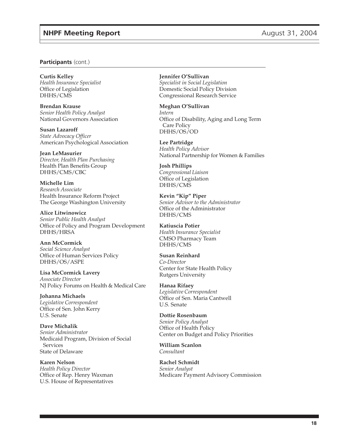#### **Participants** (cont.)

**Curtis Kelley** *Health Insurance Specialist* Office of Legislation DHHS/CMS

**Brendan Krause** *Senior Health Policy Analyst* National Governors Association

**Susan Lazaroff** *State Advocacy Officer* American Psychological Association

**Jean LeMasurier** *Director, Health Plan Purchasing* Health Plan Benefits Group DHHS/CMS/CBC

**Michelle Lim** *Research Associate* Health Insurance Reform Project The George Washington University

**Alice Litwinowicz** *Senior Public Health Analyst* Office of Policy and Program Development DHHS/HRSA

**Ann McCormick** *Social Science Analyst* Office of Human Services Policy DHHS/OS/ASPE

**Lisa McCormick Lavery** *Associate Director* NJ Policy Forums on Health & Medical Care

**Johanna Michaels** *Legislative Correspondent* Office of Sen. John Kerry U.S. Senate

**Dave Michalik** *Senior Administrator* Medicaid Program, Division of Social **Services** State of Delaware

**Karen Nelson** *Health Policy Director* Office of Rep. Henry Waxman U.S. House of Representatives **Jennifer O'Sullivan** *Specialist in Social Legislation* Domestic Social Policy Division Congressional Research Service

**Meghan O'Sullivan** *Intern* Office of Disability, Aging and Long Term Care Policy DHHS/OS/OD

**Lee Partridge** *Health Policy Advisor* National Partnership for Women & Families

**Josh Phillips** *Congressional Liaison* Office of Legislation DHHS/CMS

**Kevin "Kip" Piper** *Senior Advisor to the Administrator* Office of the Administrator DHHS/CMS

**Katiuscia Potier** *Health Insurance Specialist* CMSO Pharmacy Team DHHS/CMS

**Susan Reinhard** *Co-Director* Center for State Health Policy Rutgers University

**Hanaa Rifaey** *Legislative Correspondent* Office of Sen. Maria Cantwell U.S. Senate

**Dottie Rosenbaum** *Senior Policy Analyst* Office of Health Policy Center on Budget and Policy Priorities

**William Scanlon** *Consultant*

**Rachel Schmidt** *Senior Analyst* Medicare Payment Advisory Commission